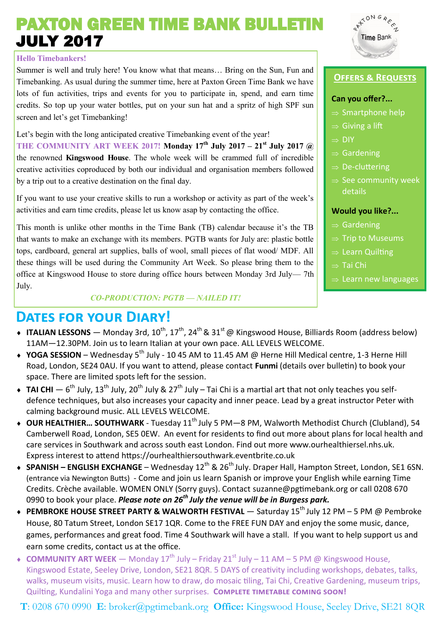# PAXTON GREEN TIME BANK BULLETIN JULY 2017

### **Hello Timebankers!**

Summer is well and truly here! You know what that means… Bring on the Sun, Fun and Timebanking. As usual during the summer time, here at Paxton Green Time Bank we have lots of fun activities, trips and events for you to participate in, spend, and earn time credits. So top up your water bottles, put on your sun hat and a spritz of high SPF sun screen and let's get Timebanking!

Let's begin with the long anticipated creative Timebanking event of the year! **THE COMMUNITY ART WEEK 2017! Monday 17th July 2017 – 21st July 2017 @**  the renowned **Kingswood House**. The whole week will be crammed full of incredible creative activities coproduced by both our individual and organisation members followed by a trip out to a creative destination on the final day.

If you want to use your creative skills to run a workshop or activity as part of the week's activities and earn time credits, please let us know asap by contacting the office.

This month is unlike other months in the Time Bank (TB) calendar because it's the TB that wants to make an exchange with its members. PGTB wants for July are: plastic bottle tops, cardboard, general art supplies, balls of wool, small pieces of flat wood/ MDF. All these things will be used during the Community Art Week. So please bring them to the office at Kingswood House to store during office hours between Monday 3rd July— 7th July.

### *CO-PRODUCTION: PGTB — NAILED IT!*

## **Dates for your Diary!**

- $\bullet$  **ITALIAN LESSONS** Monday 3rd, 10<sup>th</sup>, 17<sup>th</sup>, 24<sup>th</sup> & 31<sup>st</sup> @ Kingswood House, Billiards Room (address below) 11AM—12.30PM. Join us to learn Italian at your own pace. ALL LEVELS WELCOME.
- ◆ YOGA SESSION Wednesday 5<sup>th</sup> July 10 45 AM to 11.45 AM @ Herne Hill Medical centre, 1-3 Herne Hill Road, London, SE24 0AU. If you want to attend, please contact **Funmi** (details over bulletin) to book your space. There are limited spots left for the session.
- $\bullet$  TAI CHI  $-$  6<sup>th</sup> July, 13<sup>th</sup> July, 20<sup>th</sup> July & 27<sup>th</sup> July Tai Chi is a martial art that not only teaches you selfdefence techniques, but also increases your capacity and inner peace. Lead by a great instructor Peter with calming background music. ALL LEVELS WELCOME.
- ◆ OUR HEALTHIER... SOUTHWARK Tuesday 11<sup>th</sup> July 5 PM—8 PM, Walworth Methodist Church (Clubland), 54 Camberwell Road, London, SE5 0EW. An event for residents to find out more about plans for local health and care services in Southwark and across south east London. Find out more www.ourhealthiersel.nhs.uk. Express interest to attend https://ourhealthiersouthwark.eventbrite.co.uk
- ◆ **SPANISH ENGLISH EXCHANGE** Wednesdav 12<sup>th</sup> & 26<sup>th</sup> July. Draper Hall, Hampton Street, London, SE1 6SN. (entrance via Newington Butts) - Come and join us learn Spanish or improve your English while earning Time Credits. Crèche available. WOMEN ONLY (Sorry guys). Contact [suzanne@pgtimebank.org](mailto:suzanne@pgtimebank.org) or call 0208 670 0990 to book your place. *Please note on 26th July the venue will be in Burgess park.*
- ◆ PEMBROKE HOUSE STREET PARTY & WALWORTH FESTIVAL Saturday 15<sup>th</sup> July 12 PM 5 PM @ Pembroke House, 80 Tatum Street, London SE17 1QR. Come to the FREE FUN DAY and enjoy the some music, dance, games, performances and great food. Time 4 Southwark will have a stall. If you want to help support us and earn some credits, contact us at the office.
- **COMMUNITY ART WEEK** Monday 17<sup>th</sup> July Friday 21<sup>st</sup> July 11 AM 5 PM @ Kingswood House, Kingswood Estate, Seeley Drive, London, SE21 8QR. 5 DAYS of creativity including workshops, debates, talks, walks, museum visits, music. Learn how to draw, do mosaic tiling, Tai Chi, Creative Gardening, museum trips, Quilting, Kundalini Yoga and many other surprises. **Complete timetable coming soon!**

**T**: 0208 670 0990 **E**: broker@pgtimebank.org **Office:** Kingswood House, Seeley Drive, SE21 8QR



### **Offers & Requests**

### **Can you offer?...**

- $\Rightarrow$  Smartphone help
- $\Rightarrow$  Giving a lift
- $\Rightarrow$  DIY
- $\Rightarrow$  Gardening
- $\Rightarrow$  De-cluttering
- $\Rightarrow$  See community week details

### **Would you like?...**

- $\Rightarrow$  Gardening
- $\Rightarrow$  Trip to Museums
- $\Rightarrow$  Learn Quilting
- $\Rightarrow$  Tai Chi
- $\Rightarrow$  Learn new languages